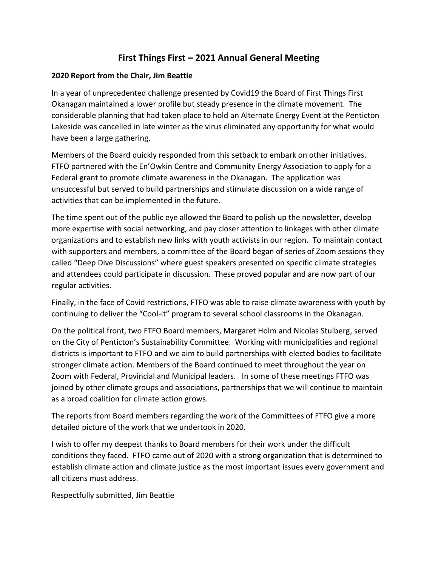# **First Things First – 2021 Annual General Meeting**

#### **2020 Report from the Chair, Jim Beattie**

In a year of unprecedented challenge presented by Covid19 the Board of First Things First Okanagan maintained a lower profile but steady presence in the climate movement. The considerable planning that had taken place to hold an Alternate Energy Event at the Penticton Lakeside was cancelled in late winter as the virus eliminated any opportunity for what would have been a large gathering.

Members of the Board quickly responded from this setback to embark on other initiatives. FTFO partnered with the En'Owkin Centre and Community Energy Association to apply for a Federal grant to promote climate awareness in the Okanagan. The application was unsuccessful but served to build partnerships and stimulate discussion on a wide range of activities that can be implemented in the future.

The time spent out of the public eye allowed the Board to polish up the newsletter, develop more expertise with social networking, and pay closer attention to linkages with other climate organizations and to establish new links with youth activists in our region. To maintain contact with supporters and members, a committee of the Board began of series of Zoom sessions they called "Deep Dive Discussions" where guest speakers presented on specific climate strategies and attendees could participate in discussion. These proved popular and are now part of our regular activities.

Finally, in the face of Covid restrictions, FTFO was able to raise climate awareness with youth by continuing to deliver the "Cool-it" program to several school classrooms in the Okanagan.

On the political front, two FTFO Board members, Margaret Holm and Nicolas Stulberg, served on the City of Penticton's Sustainability Committee. Working with municipalities and regional districts is important to FTFO and we aim to build partnerships with elected bodies to facilitate stronger climate action. Members of the Board continued to meet throughout the year on Zoom with Federal, Provincial and Municipal leaders. In some of these meetings FTFO was joined by other climate groups and associations, partnerships that we will continue to maintain as a broad coalition for climate action grows.

The reports from Board members regarding the work of the Committees of FTFO give a more detailed picture of the work that we undertook in 2020.

I wish to offer my deepest thanks to Board members for their work under the difficult conditions they faced. FTFO came out of 2020 with a strong organization that is determined to establish climate action and climate justice as the most important issues every government and all citizens must address.

Respectfully submitted, Jim Beattie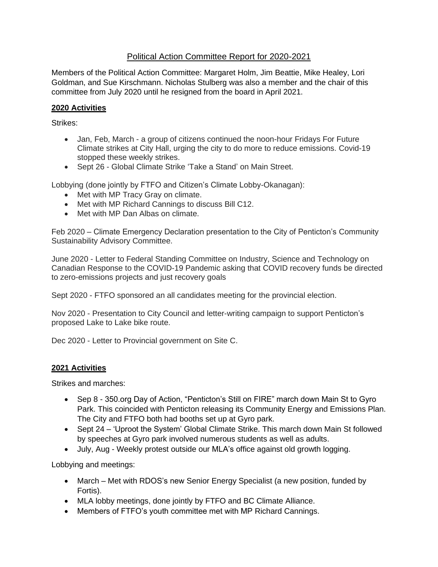# Political Action Committee Report for 2020-2021

Members of the Political Action Committee: Margaret Holm, Jim Beattie, Mike Healey, Lori Goldman, and Sue Kirschmann. Nicholas Stulberg was also a member and the chair of this committee from July 2020 until he resigned from the board in April 2021.

## **2020 Activities**

Strikes:

- Jan, Feb, March a group of citizens continued the noon-hour Fridays For Future Climate strikes at City Hall, urging the city to do more to reduce emissions. Covid-19 stopped these weekly strikes.
- Sept 26 Global Climate Strike 'Take a Stand' on Main Street.

Lobbying (done jointly by FTFO and Citizen's Climate Lobby-Okanagan):

- Met with MP Tracy Gray on climate.
- Met with MP Richard Cannings to discuss Bill C12.
- Met with MP Dan Albas on climate.

Feb 2020 – Climate Emergency Declaration presentation to the City of Penticton's Community Sustainability Advisory Committee.

June 2020 - Letter to Federal Standing Committee on Industry, Science and Technology on Canadian Response to the COVID-19 Pandemic asking that COVID recovery funds be directed to zero-emissions projects and just recovery goals

Sept 2020 - FTFO sponsored an all candidates meeting for the provincial election.

Nov 2020 - Presentation to City Council and letter-writing campaign to support Penticton's proposed Lake to Lake bike route.

Dec 2020 - Letter to Provincial government on Site C.

#### **2021 Activities**

Strikes and marches:

- Sep 8 350.org Day of Action, "Penticton's Still on FIRE" march down Main St to Gyro Park. This coincided with Penticton releasing its Community Energy and Emissions Plan. The City and FTFO both had booths set up at Gyro park.
- Sept 24 'Uproot the System' Global Climate Strike. This march down Main St followed by speeches at Gyro park involved numerous students as well as adults.
- July, Aug Weekly protest outside our MLA's office against old growth logging.

Lobbying and meetings:

- March Met with RDOS's new Senior Energy Specialist (a new position, funded by Fortis).
- MLA lobby meetings, done jointly by FTFO and BC Climate Alliance.
- Members of FTFO's youth committee met with MP Richard Cannings.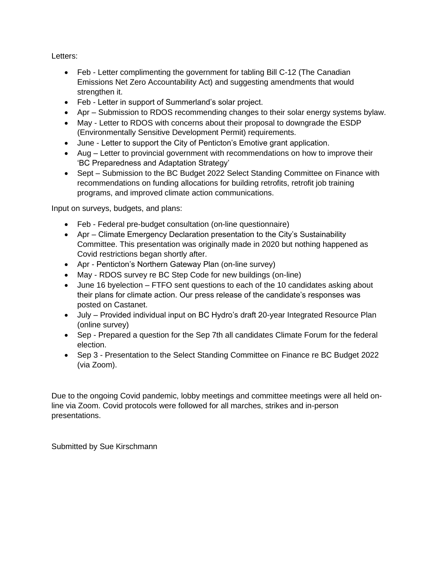Letters:

- Feb Letter complimenting the government for tabling Bill C-12 (The Canadian Emissions Net Zero Accountability Act) and suggesting amendments that would strengthen it.
- Feb Letter in support of Summerland's solar project.
- Apr Submission to RDOS recommending changes to their solar energy systems bylaw.
- May Letter to RDOS with concerns about their proposal to downgrade the ESDP (Environmentally Sensitive Development Permit) requirements.
- June Letter to support the City of Penticton's Emotive grant application.
- Aug Letter to provincial government with recommendations on how to improve their 'BC Preparedness and Adaptation Strategy'
- Sept Submission to the BC Budget 2022 Select Standing Committee on Finance with recommendations on funding allocations for building retrofits, retrofit job training programs, and improved climate action communications.

Input on surveys, budgets, and plans:

- Feb Federal pre-budget consultation (on-line questionnaire)
- Apr Climate Emergency Declaration presentation to the City's Sustainability Committee. This presentation was originally made in 2020 but nothing happened as Covid restrictions began shortly after.
- Apr Penticton's Northern Gateway Plan (on-line survey)
- May RDOS survey re BC Step Code for new buildings (on-line)
- June 16 byelection FTFO sent questions to each of the 10 candidates asking about their plans for climate action. Our press release of the candidate's responses was posted on Castanet.
- July Provided individual input on BC Hydro's draft 20-year Integrated Resource Plan (online survey)
- Sep Prepared a question for the Sep 7th all candidates Climate Forum for the federal election.
- Sep 3 Presentation to the Select Standing Committee on Finance re BC Budget 2022 (via Zoom).

Due to the ongoing Covid pandemic, lobby meetings and committee meetings were all held online via Zoom. Covid protocols were followed for all marches, strikes and in-person presentations.

Submitted by Sue Kirschmann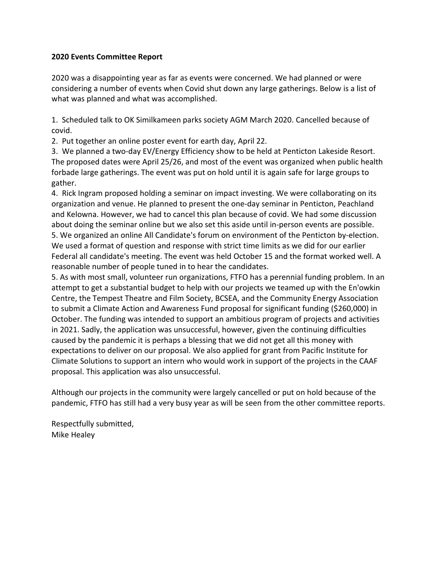#### **2020 Events Committee Report**

2020 was a disappointing year as far as events were concerned. We had planned or were considering a number of events when Covid shut down any large gatherings. Below is a list of what was planned and what was accomplished.

1. Scheduled talk to OK Similkameen parks society AGM March 2020. Cancelled because of covid.

2. Put together an online poster event for earth day, April 22.

3. We planned a two-day EV/Energy Efficiency show to be held at Penticton Lakeside Resort. The proposed dates were April 25/26, and most of the event was organized when public health forbade large gatherings. The event was put on hold until it is again safe for large groups to gather.

4. Rick Ingram proposed holding a seminar on impact investing. We were collaborating on its organization and venue. He planned to present the one-day seminar in Penticton, Peachland and Kelowna. However, we had to cancel this plan because of covid. We had some discussion about doing the seminar online but we also set this aside until in-person events are possible. 5. We organized an online All Candidate's forum on environment of the Penticton by-election. We used a format of question and response with strict time limits as we did for our earlier Federal all candidate's meeting. The event was held October 15 and the format worked well. A reasonable number of people tuned in to hear the candidates.

5. As with most small, volunteer run organizations, FTFO has a perennial funding problem. In an attempt to get a substantial budget to help with our projects we teamed up with the En'owkin Centre, the Tempest Theatre and Film Society, BCSEA, and the Community Energy Association to submit a Climate Action and Awareness Fund proposal for significant funding (\$260,000) in October. The funding was intended to support an ambitious program of projects and activities in 2021. Sadly, the application was unsuccessful, however, given the continuing difficulties caused by the pandemic it is perhaps a blessing that we did not get all this money with expectations to deliver on our proposal. We also applied for grant from Pacific Institute for Climate Solutions to support an intern who would work in support of the projects in the CAAF proposal. This application was also unsuccessful.

Although our projects in the community were largely cancelled or put on hold because of the pandemic, FTFO has still had a very busy year as will be seen from the other committee reports.

Respectfully submitted, Mike Healey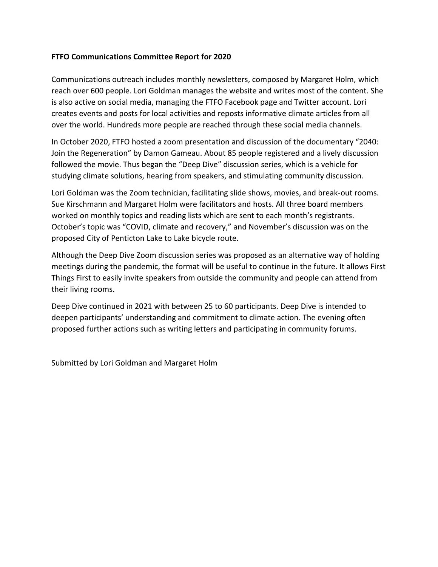#### **FTFO Communications Committee Report for 2020**

Communications outreach includes monthly newsletters, composed by Margaret Holm, which reach over 600 people. Lori Goldman manages the website and writes most of the content. She is also active on social media, managing the FTFO Facebook page and Twitter account. Lori creates events and posts for local activities and reposts informative climate articles from all over the world. Hundreds more people are reached through these social media channels.

In October 2020, FTFO hosted a zoom presentation and discussion of the documentary "2040: Join the Regeneration" by Damon Gameau. About 85 people registered and a lively discussion followed the movie. Thus began the "Deep Dive" discussion series, which is a vehicle for studying climate solutions, hearing from speakers, and stimulating community discussion.

Lori Goldman was the Zoom technician, facilitating slide shows, movies, and break-out rooms. Sue Kirschmann and Margaret Holm were facilitators and hosts. All three board members worked on monthly topics and reading lists which are sent to each month's registrants. October's topic was "COVID, climate and recovery," and November's discussion was on the proposed City of Penticton Lake to Lake bicycle route.

Although the Deep Dive Zoom discussion series was proposed as an alternative way of holding meetings during the pandemic, the format will be useful to continue in the future. It allows First Things First to easily invite speakers from outside the community and people can attend from their living rooms.

Deep Dive continued in 2021 with between 25 to 60 participants. Deep Dive is intended to deepen participants' understanding and commitment to climate action. The evening often proposed further actions such as writing letters and participating in community forums.

Submitted by Lori Goldman and Margaret Holm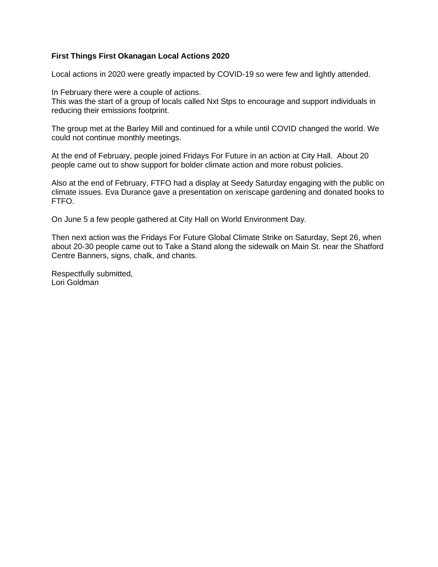#### **First Things First Okanagan Local Actions 2020**

Local actions in 2020 were greatly impacted by COVID-19 so were few and lightly attended.

In February there were a couple of actions. This was the start of a group of locals called Nxt Stps to encourage and support individuals in reducing their emissions footprint.

The group met at the Barley Mill and continued for a while until COVID changed the world. We could not continue monthly meetings.

At the end of February, people joined Fridays For Future in an action at City Hall. About 20 people came out to show support for bolder climate action and more robust policies.

Also at the end of February, FTFO had a display at Seedy Saturday engaging with the public on climate issues. Eva Durance gave a presentation on xeriscape gardening and donated books to FTFO.

On June 5 a few people gathered at City Hall on World Environment Day.

Then next action was the Fridays For Future Global Climate Strike on Saturday, Sept 26, when about 20-30 people came out to Take a Stand along the sidewalk on Main St. near the Shatford Centre Banners, signs, chalk, and chants.

Respectfully submitted, Lori Goldman